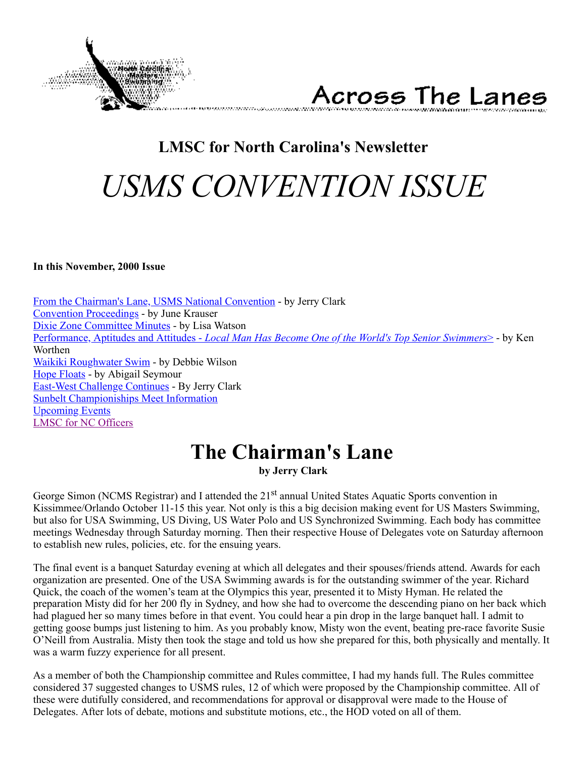



# **LMSC for North Carolina's Newsletter** *USMS CONVENTION ISSUE*

#### <span id="page-0-1"></span>**In this November, 2000 Issue**

[From the Chairman's Lane, USMS National Convention](#page-0-0) - by Jerry Clark [Convention Proceedings](#page-1-0) - by June Krauser [Dixie Zone Committee Minutes](#page-5-0) - by Lisa Watson Performance, Aptitudes and Attitudes - *[Local Man Has Become One of the World's Top Senior Swimmers](#page-6-0)*> - by Ken Worthen [Waikiki Roughwater Swim](#page-8-0) - by Debbie Wilson [Hope Floats](#page-9-0) - by Abigail Seymour [East-West Challenge Continues](#page-11-0) - By Jerry Clark [Sunbelt Championiships Meet Information](#page-13-0) [Upcoming Events](#page-10-0) [LMSC for NC Officers](#page-15-0)

# <span id="page-0-0"></span>**The Chairman's Lane**

**by Jerry Clark**

George Simon (NCMS Registrar) and I attended the 21<sup>st</sup> annual United States Aquatic Sports convention in Kissimmee/Orlando October 11-15 this year. Not only is this a big decision making event for US Masters Swimming, but also for USA Swimming, US Diving, US Water Polo and US Synchronized Swimming. Each body has committee meetings Wednesday through Saturday morning. Then their respective House of Delegates vote on Saturday afternoon to establish new rules, policies, etc. for the ensuing years.

The final event is a banquet Saturday evening at which all delegates and their spouses/friends attend. Awards for each organization are presented. One of the USA Swimming awards is for the outstanding swimmer of the year. Richard Quick, the coach of the women's team at the Olympics this year, presented it to Misty Hyman. He related the preparation Misty did for her 200 fly in Sydney, and how she had to overcome the descending piano on her back which had plagued her so many times before in that event. You could hear a pin drop in the large banquet hall. I admit to getting goose bumps just listening to him. As you probably know, Misty won the event, beating pre-race favorite Susie O'Neill from Australia. Misty then took the stage and told us how she prepared for this, both physically and mentally. It was a warm fuzzy experience for all present.

As a member of both the Championship committee and Rules committee, I had my hands full. The Rules committee considered 37 suggested changes to USMS rules, 12 of which were proposed by the Championship committee. All of these were dutifully considered, and recommendations for approval or disapproval were made to the House of Delegates. After lots of debate, motions and substitute motions, etc., the HOD voted on all of them.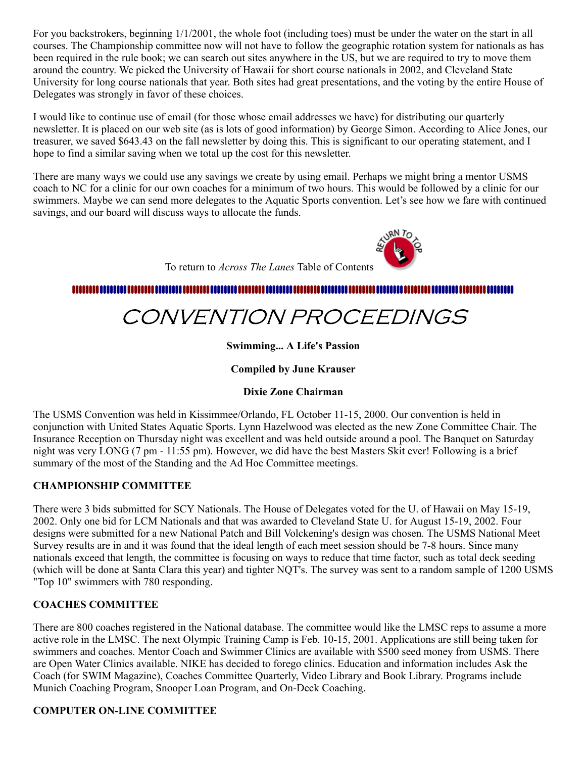For you backstrokers, beginning 1/1/2001, the whole foot (including toes) must be under the water on the start in all courses. The Championship committee now will not have to follow the geographic rotation system for nationals as has been required in the rule book; we can search out sites anywhere in the US, but we are required to try to move them around the country. We picked the University of Hawaii for short course nationals in 2002, and Cleveland State University for long course nationals that year. Both sites had great presentations, and the voting by the entire House of Delegates was strongly in favor of these choices.

I would like to continue use of email (for those whose email addresses we have) for distributing our quarterly newsletter. It is placed on our web site (as is lots of good information) by George Simon. According to Alice Jones, our treasurer, we saved \$643.43 on the fall newsletter by doing this. This is significant to our operating statement, and I hope to find a similar saving when we total up the cost for this newsletter.

There are many ways we could use any savings we create by using email. Perhaps we might bring a mentor USMS coach to NC for a clinic for our own coaches for a minimum of two hours. This would be followed by a clinic for our swimmers. Maybe we can send more delegates to the Aquatic Sports convention. Let's see how we fare with continued savings, and our board will discuss ways to allocate the funds.

To return to *Across The Lanes* Table of Contents

#### <span id="page-1-0"></span>....................

# CONVENTION PROCEEDINGS

### **Swimming... A Life's Passion**

### **Compiled by June Krauser**

#### **Dixie Zone Chairman**

The USMS Convention was held in Kissimmee/Orlando, FL October 11-15, 2000. Our convention is held in conjunction with United States Aquatic Sports. Lynn Hazelwood was elected as the new Zone Committee Chair. The Insurance Reception on Thursday night was excellent and was held outside around a pool. The Banquet on Saturday night was very LONG (7 pm - 11:55 pm). However, we did have the best Masters Skit ever! Following is a brief summary of the most of the Standing and the Ad Hoc Committee meetings.

#### **CHAMPIONSHIP COMMITTEE**

There were 3 bids submitted for SCY Nationals. The House of Delegates voted for the U. of Hawaii on May 15-19, 2002. Only one bid for LCM Nationals and that was awarded to Cleveland State U. for August 15-19, 2002. Four designs were submitted for a new National Patch and Bill Volckening's design was chosen. The USMS National Meet Survey results are in and it was found that the ideal length of each meet session should be 7-8 hours. Since many nationals exceed that length, the committee is focusing on ways to reduce that time factor, such as total deck seeding (which will be done at Santa Clara this year) and tighter NQT's. The survey was sent to a random sample of 1200 USMS "Top 10" swimmers with 780 responding.

#### **COACHES COMMITTEE**

There are 800 coaches registered in the National database. The committee would like the LMSC reps to assume a more active role in the LMSC. The next Olympic Training Camp is Feb. 10-15, 2001. Applications are still being taken for swimmers and coaches. Mentor Coach and Swimmer Clinics are available with \$500 seed money from USMS. There are Open Water Clinics available. NIKE has decided to forego clinics. Education and information includes Ask the Coach (for SWIM Magazine), Coaches Committee Quarterly, Video Library and Book Library. Programs include Munich Coaching Program, Snooper Loan Program, and On-Deck Coaching.

### **COMPUTER ON-LINE COMMITTEE**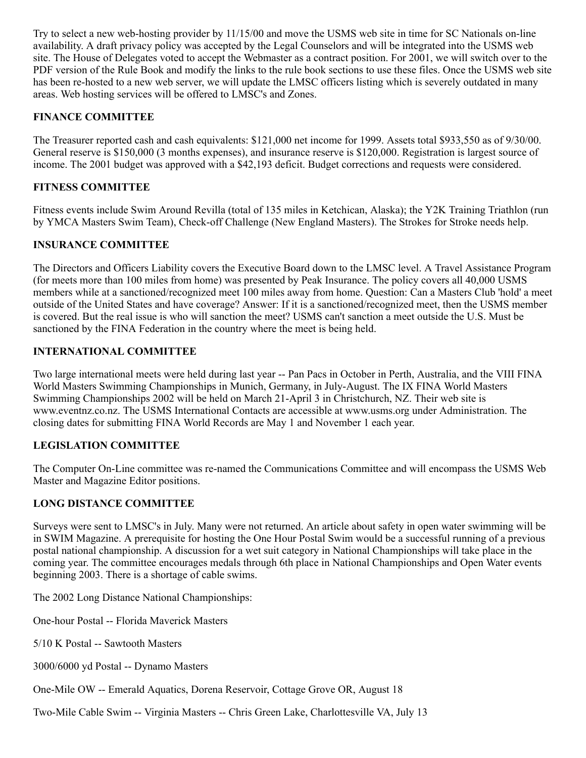Try to select a new web-hosting provider by 11/15/00 and move the USMS web site in time for SC Nationals on-line availability. A draft privacy policy was accepted by the Legal Counselors and will be integrated into the USMS web site. The House of Delegates voted to accept the Webmaster as a contract position. For 2001, we will switch over to the PDF version of the Rule Book and modify the links to the rule book sections to use these files. Once the USMS web site has been re-hosted to a new web server, we will update the LMSC officers listing which is severely outdated in many areas. Web hosting services will be offered to LMSC's and Zones.

#### **FINANCE COMMITTEE**

The Treasurer reported cash and cash equivalents: \$121,000 net income for 1999. Assets total \$933,550 as of 9/30/00. General reserve is \$150,000 (3 months expenses), and insurance reserve is \$120,000. Registration is largest source of income. The 2001 budget was approved with a \$42,193 deficit. Budget corrections and requests were considered.

#### **FITNESS COMMITTEE**

Fitness events include Swim Around Revilla (total of 135 miles in Ketchican, Alaska); the Y2K Training Triathlon (run by YMCA Masters Swim Team), Check-off Challenge (New England Masters). The Strokes for Stroke needs help.

### **INSURANCE COMMITTEE**

The Directors and Officers Liability covers the Executive Board down to the LMSC level. A Travel Assistance Program (for meets more than 100 miles from home) was presented by Peak Insurance. The policy covers all 40,000 USMS members while at a sanctioned/recognized meet 100 miles away from home. Question: Can a Masters Club 'hold' a meet outside of the United States and have coverage? Answer: If it is a sanctioned/recognized meet, then the USMS member is covered. But the real issue is who will sanction the meet? USMS can't sanction a meet outside the U.S. Must be sanctioned by the FINA Federation in the country where the meet is being held.

#### **INTERNATIONAL COMMITTEE**

Two large international meets were held during last year -- Pan Pacs in October in Perth, Australia, and the VIII FINA World Masters Swimming Championships in Munich, Germany, in July-August. The IX FINA World Masters Swimming Championships 2002 will be held on March 21-April 3 in Christchurch, NZ. Their web site is www.eventnz.co.nz. The USMS International Contacts are accessible at www.usms.org under Administration. The closing dates for submitting FINA World Records are May 1 and November 1 each year.

#### **LEGISLATION COMMITTEE**

The Computer On-Line committee was re-named the Communications Committee and will encompass the USMS Web Master and Magazine Editor positions.

#### **LONG DISTANCE COMMITTEE**

Surveys were sent to LMSC's in July. Many were not returned. An article about safety in open water swimming will be in SWIM Magazine. A prerequisite for hosting the One Hour Postal Swim would be a successful running of a previous postal national championship. A discussion for a wet suit category in National Championships will take place in the coming year. The committee encourages medals through 6th place in National Championships and Open Water events beginning 2003. There is a shortage of cable swims.

The 2002 Long Distance National Championships:

One-hour Postal -- Florida Maverick Masters

5/10 K Postal -- Sawtooth Masters

3000/6000 yd Postal -- Dynamo Masters

One-Mile OW -- Emerald Aquatics, Dorena Reservoir, Cottage Grove OR, August 18

Two-Mile Cable Swim -- Virginia Masters -- Chris Green Lake, Charlottesville VA, July 13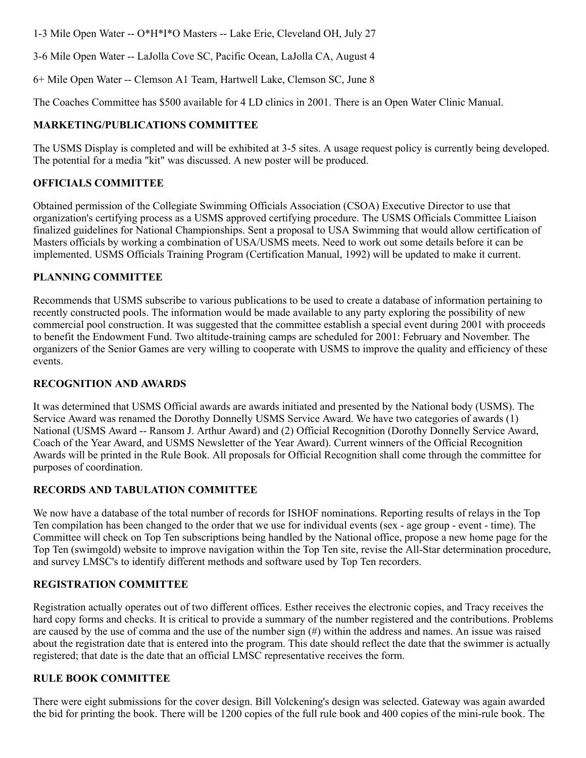1-3 Mile Open Water -- O\*H\*I\*O Masters -- Lake Erie, Cleveland OH, July 27

3-6 Mile Open Water -- LaJolla Cove SC, Pacific Ocean, LaJolla CA, August 4

6+ Mile Open Water -- Clemson A1 Team, Hartwell Lake, Clemson SC, June 8

The Coaches Committee has \$500 available for 4 LD clinics in 2001. There is an Open Water Clinic Manual.

#### **MARKETING/PUBLICATIONS COMMITTEE**

The USMS Display is completed and will be exhibited at 3-5 sites. A usage request policy is currently being developed. The potential for a media "kit" was discussed. A new poster will be produced.

#### **OFFICIALS COMMITTEE**

Obtained permission of the Collegiate Swimming Officials Association (CSOA) Executive Director to use that organization's certifying process as a USMS approved certifying procedure. The USMS Officials Committee Liaison finalized guidelines for National Championships. Sent a proposal to USA Swimming that would allow certification of Masters officials by working a combination of USA/USMS meets. Need to work out some details before it can be implemented. USMS Officials Training Program (Certification Manual, 1992) will be updated to make it current.

#### **PLANNING COMMITTEE**

Recommends that USMS subscribe to various publications to be used to create a database of information pertaining to recently constructed pools. The information would be made available to any party exploring the possibility of new commercial pool construction. It was suggested that the committee establish a special event during 2001 with proceeds to benefit the Endowment Fund. Two altitude-training camps are scheduled for 2001: February and November. The organizers of the Senior Games are very willing to cooperate with USMS to improve the quality and efficiency of these events.

#### **RECOGNITION AND AWARDS**

It was determined that USMS Official awards are awards initiated and presented by the National body (USMS). The Service Award was renamed the Dorothy Donnelly USMS Service Award. We have two categories of awards (1) National (USMS Award -- Ransom J. Arthur Award) and (2) Official Recognition (Dorothy Donnelly Service Award, Coach of the Year Award, and USMS Newsletter of the Year Award). Current winners of the Official Recognition Awards will be printed in the Rule Book. All proposals for Official Recognition shall come through the committee for purposes of coordination.

#### **RECORDS AND TABULATION COMMITTEE**

We now have a database of the total number of records for ISHOF nominations. Reporting results of relays in the Top Ten compilation has been changed to the order that we use for individual events (sex - age group - event - time). The Committee will check on Top Ten subscriptions being handled by the National office, propose a new home page for the Top Ten (swimgold) website to improve navigation within the Top Ten site, revise the All-Star determination procedure, and survey LMSC's to identify different methods and software used by Top Ten recorders.

#### **REGISTRATION COMMITTEE**

Registration actually operates out of two different offices. Esther receives the electronic copies, and Tracy receives the hard copy forms and checks. It is critical to provide a summary of the number registered and the contributions. Problems are caused by the use of comma and the use of the number sign (#) within the address and names. An issue was raised about the registration date that is entered into the program. This date should reflect the date that the swimmer is actually registered; that date is the date that an official LMSC representative receives the form.

#### **RULE BOOK COMMITTEE**

There were eight submissions for the cover design. Bill Volckening's design was selected. Gateway was again awarded the bid for printing the book. There will be 1200 copies of the full rule book and 400 copies of the mini-rule book. The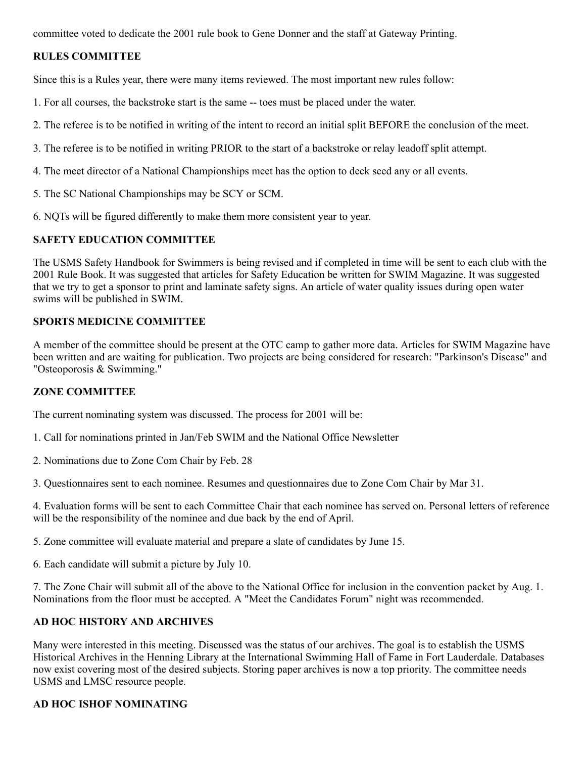committee voted to dedicate the 2001 rule book to Gene Donner and the staff at Gateway Printing.

### **RULES COMMITTEE**

Since this is a Rules year, there were many items reviewed. The most important new rules follow:

- 1. For all courses, the backstroke start is the same -- toes must be placed under the water.
- 2. The referee is to be notified in writing of the intent to record an initial split BEFORE the conclusion of the meet.
- 3. The referee is to be notified in writing PRIOR to the start of a backstroke or relay leadoff split attempt.
- 4. The meet director of a National Championships meet has the option to deck seed any or all events.
- 5. The SC National Championships may be SCY or SCM.
- 6. NQTs will be figured differently to make them more consistent year to year.

#### **SAFETY EDUCATION COMMITTEE**

The USMS Safety Handbook for Swimmers is being revised and if completed in time will be sent to each club with the 2001 Rule Book. It was suggested that articles for Safety Education be written for SWIM Magazine. It was suggested that we try to get a sponsor to print and laminate safety signs. An article of water quality issues during open water swims will be published in SWIM.

#### **SPORTS MEDICINE COMMITTEE**

A member of the committee should be present at the OTC camp to gather more data. Articles for SWIM Magazine have been written and are waiting for publication. Two projects are being considered for research: "Parkinson's Disease" and "Osteoporosis & Swimming."

#### **ZONE COMMITTEE**

The current nominating system was discussed. The process for 2001 will be:

- 1. Call for nominations printed in Jan/Feb SWIM and the National Office Newsletter
- 2. Nominations due to Zone Com Chair by Feb. 28

3. Questionnaires sent to each nominee. Resumes and questionnaires due to Zone Com Chair by Mar 31.

4. Evaluation forms will be sent to each Committee Chair that each nominee has served on. Personal letters of reference will be the responsibility of the nominee and due back by the end of April.

5. Zone committee will evaluate material and prepare a slate of candidates by June 15.

6. Each candidate will submit a picture by July 10.

7. The Zone Chair will submit all of the above to the National Office for inclusion in the convention packet by Aug. 1. Nominations from the floor must be accepted. A "Meet the Candidates Forum" night was recommended.

#### **AD HOC HISTORY AND ARCHIVES**

Many were interested in this meeting. Discussed was the status of our archives. The goal is to establish the USMS Historical Archives in the Henning Library at the International Swimming Hall of Fame in Fort Lauderdale. Databases now exist covering most of the desired subjects. Storing paper archives is now a top priority. The committee needs USMS and LMSC resource people.

#### **AD HOC ISHOF NOMINATING**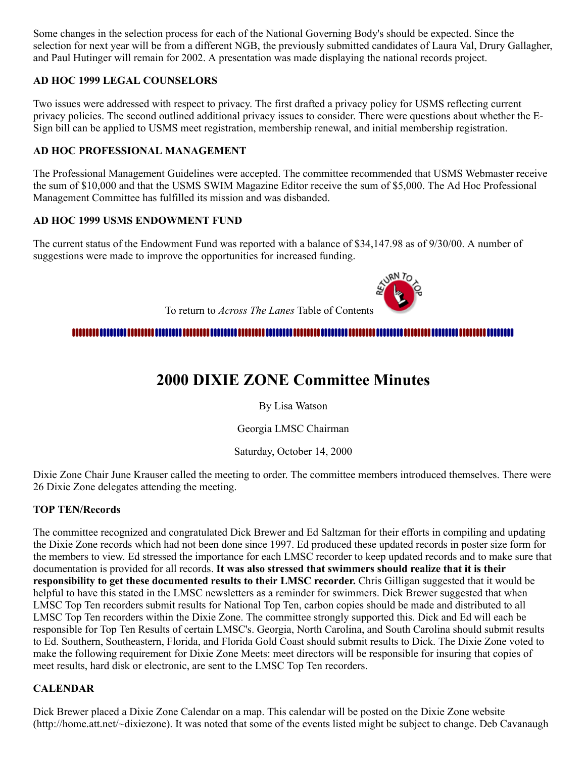Some changes in the selection process for each of the National Governing Body's should be expected. Since the selection for next year will be from a different NGB, the previously submitted candidates of Laura Val, Drury Gallagher, and Paul Hutinger will remain for 2002. A presentation was made displaying the national records project.

#### **AD HOC 1999 LEGAL COUNSELORS**

Two issues were addressed with respect to privacy. The first drafted a privacy policy for USMS reflecting current privacy policies. The second outlined additional privacy issues to consider. There were questions about whether the E-Sign bill can be applied to USMS meet registration, membership renewal, and initial membership registration.

#### **AD HOC PROFESSIONAL MANAGEMENT**

The Professional Management Guidelines were accepted. The committee recommended that USMS Webmaster receive the sum of \$10,000 and that the USMS SWIM Magazine Editor receive the sum of \$5,000. The Ad Hoc Professional Management Committee has fulfilled its mission and was disbanded.

#### **AD HOC 1999 USMS ENDOWMENT FUND**

The current status of the Endowment Fund was reported with a balance of \$34,147.98 as of 9/30/00. A number of suggestions were made to improve the opportunities for increased funding.



To return to *Across The Lanes* Table of Contents

#### <span id="page-5-0"></span>

# **2000 DIXIE ZONE Committee Minutes**

By Lisa Watson

Georgia LMSC Chairman

Saturday, October 14, 2000

Dixie Zone Chair June Krauser called the meeting to order. The committee members introduced themselves. There were 26 Dixie Zone delegates attending the meeting.

#### **TOP TEN/Records**

The committee recognized and congratulated Dick Brewer and Ed Saltzman for their efforts in compiling and updating the Dixie Zone records which had not been done since 1997. Ed produced these updated records in poster size form for the members to view. Ed stressed the importance for each LMSC recorder to keep updated records and to make sure that documentation is provided for all records. **It was also stressed that swimmers should realize that it is their responsibility to get these documented results to their LMSC recorder.** Chris Gilligan suggested that it would be helpful to have this stated in the LMSC newsletters as a reminder for swimmers. Dick Brewer suggested that when LMSC Top Ten recorders submit results for National Top Ten, carbon copies should be made and distributed to all LMSC Top Ten recorders within the Dixie Zone. The committee strongly supported this. Dick and Ed will each be responsible for Top Ten Results of certain LMSC's. Georgia, North Carolina, and South Carolina should submit results to Ed. Southern, Southeastern, Florida, and Florida Gold Coast should submit results to Dick. The Dixie Zone voted to make the following requirement for Dixie Zone Meets: meet directors will be responsible for insuring that copies of meet results, hard disk or electronic, are sent to the LMSC Top Ten recorders.

#### **CALENDAR**

Dick Brewer placed a Dixie Zone Calendar on a map. This calendar will be posted on the Dixie Zone website (http://home.att.net/~dixiezone). It was noted that some of the events listed might be subject to change. Deb Cavanaugh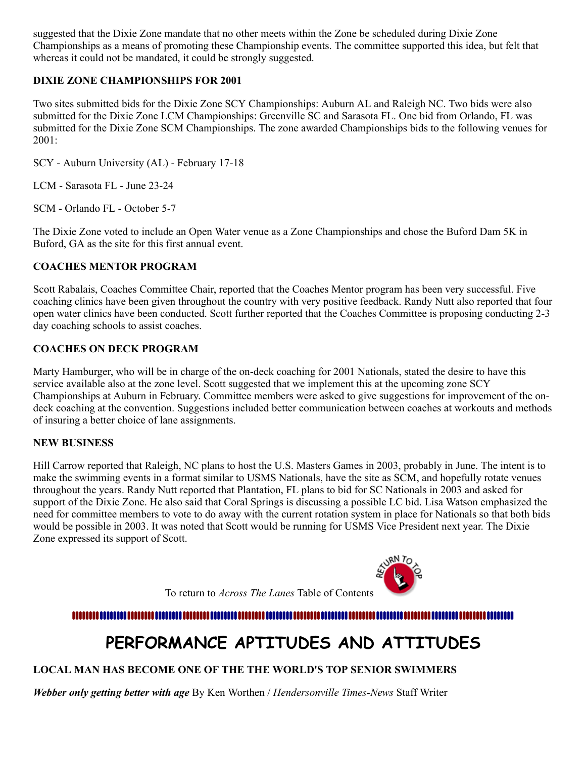suggested that the Dixie Zone mandate that no other meets within the Zone be scheduled during Dixie Zone Championships as a means of promoting these Championship events. The committee supported this idea, but felt that whereas it could not be mandated, it could be strongly suggested.

#### **DIXIE ZONE CHAMPIONSHIPS FOR 2001**

Two sites submitted bids for the Dixie Zone SCY Championships: Auburn AL and Raleigh NC. Two bids were also submitted for the Dixie Zone LCM Championships: Greenville SC and Sarasota FL. One bid from Orlando, FL was submitted for the Dixie Zone SCM Championships. The zone awarded Championships bids to the following venues for 2001:

SCY - Auburn University (AL) - February 17-18

LCM - Sarasota FL - June 23-24

SCM - Orlando FL - October 5-7

The Dixie Zone voted to include an Open Water venue as a Zone Championships and chose the Buford Dam 5K in Buford, GA as the site for this first annual event.

#### **COACHES MENTOR PROGRAM**

Scott Rabalais, Coaches Committee Chair, reported that the Coaches Mentor program has been very successful. Five coaching clinics have been given throughout the country with very positive feedback. Randy Nutt also reported that four open water clinics have been conducted. Scott further reported that the Coaches Committee is proposing conducting 2-3 day coaching schools to assist coaches.

#### **COACHES ON DECK PROGRAM**

Marty Hamburger, who will be in charge of the on-deck coaching for 2001 Nationals, stated the desire to have this service available also at the zone level. Scott suggested that we implement this at the upcoming zone SCY Championships at Auburn in February. Committee members were asked to give suggestions for improvement of the ondeck coaching at the convention. Suggestions included better communication between coaches at workouts and methods of insuring a better choice of lane assignments.

#### **NEW BUSINESS**

Hill Carrow reported that Raleigh, NC plans to host the U.S. Masters Games in 2003, probably in June. The intent is to make the swimming events in a format similar to USMS Nationals, have the site as SCM, and hopefully rotate venues throughout the years. Randy Nutt reported that Plantation, FL plans to bid for SC Nationals in 2003 and asked for support of the Dixie Zone. He also said that Coral Springs is discussing a possible LC bid. Lisa Watson emphasized the need for committee members to vote to do away with the current rotation system in place for Nationals so that both bids would be possible in 2003. It was noted that Scott would be running for USMS Vice President next year. The Dixie Zone expressed its support of Scott.



To return to *Across The Lanes* Table of Contents

# **PERFORMANCE APTITUDES AND ATTITUDES**

#### <span id="page-6-0"></span>**LOCAL MAN HAS BECOME ONE OF THE THE WORLD'S TOP SENIOR SWIMMERS**

*Webber only getting better with age* By Ken Worthen / *Hendersonville Times-News* Staff Writer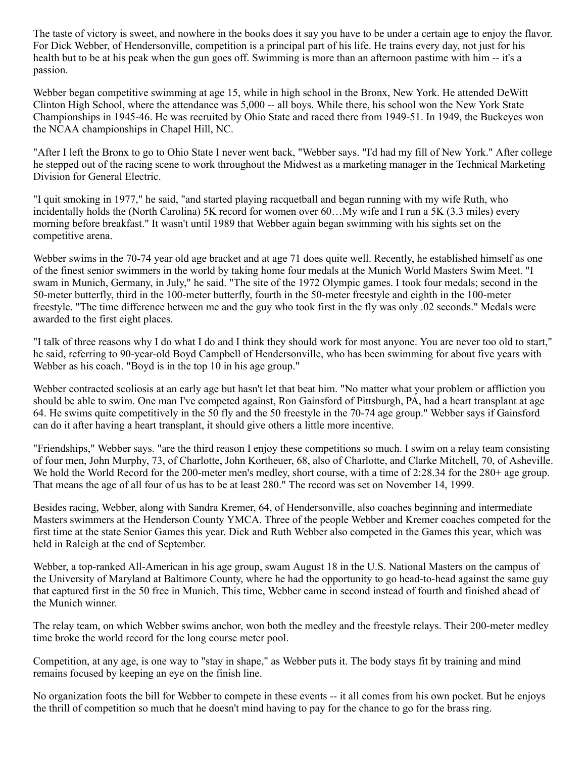The taste of victory is sweet, and nowhere in the books does it say you have to be under a certain age to enjoy the flavor. For Dick Webber, of Hendersonville, competition is a principal part of his life. He trains every day, not just for his health but to be at his peak when the gun goes off. Swimming is more than an afternoon pastime with him -- it's a passion.

Webber began competitive swimming at age 15, while in high school in the Bronx, New York. He attended DeWitt Clinton High School, where the attendance was 5,000 -- all boys. While there, his school won the New York State Championships in 1945-46. He was recruited by Ohio State and raced there from 1949-51. In 1949, the Buckeyes won the NCAA championships in Chapel Hill, NC.

"After I left the Bronx to go to Ohio State I never went back, "Webber says. "I'd had my fill of New York." After college he stepped out of the racing scene to work throughout the Midwest as a marketing manager in the Technical Marketing Division for General Electric.

"I quit smoking in 1977," he said, "and started playing racquetball and began running with my wife Ruth, who incidentally holds the (North Carolina) 5K record for women over 60…My wife and I run a 5K (3.3 miles) every morning before breakfast." It wasn't until 1989 that Webber again began swimming with his sights set on the competitive arena.

Webber swims in the 70-74 year old age bracket and at age 71 does quite well. Recently, he established himself as one of the finest senior swimmers in the world by taking home four medals at the Munich World Masters Swim Meet. "I swam in Munich, Germany, in July," he said. "The site of the 1972 Olympic games. I took four medals; second in the 50-meter butterfly, third in the 100-meter butterfly, fourth in the 50-meter freestyle and eighth in the 100-meter freestyle. "The time difference between me and the guy who took first in the fly was only .02 seconds." Medals were awarded to the first eight places.

"I talk of three reasons why I do what I do and I think they should work for most anyone. You are never too old to start," he said, referring to 90-year-old Boyd Campbell of Hendersonville, who has been swimming for about five years with Webber as his coach. "Boyd is in the top 10 in his age group."

Webber contracted scoliosis at an early age but hasn't let that beat him. "No matter what your problem or affliction you should be able to swim. One man I've competed against, Ron Gainsford of Pittsburgh, PA, had a heart transplant at age 64. He swims quite competitively in the 50 fly and the 50 freestyle in the 70-74 age group." Webber says if Gainsford can do it after having a heart transplant, it should give others a little more incentive.

"Friendships," Webber says. "are the third reason I enjoy these competitions so much. I swim on a relay team consisting of four men, John Murphy, 73, of Charlotte, John Kortheuer, 68, also of Charlotte, and Clarke Mitchell, 70, of Asheville. We hold the World Record for the 200-meter men's medley, short course, with a time of 2:28.34 for the 280+ age group. That means the age of all four of us has to be at least 280." The record was set on November 14, 1999.

Besides racing, Webber, along with Sandra Kremer, 64, of Hendersonville, also coaches beginning and intermediate Masters swimmers at the Henderson County YMCA. Three of the people Webber and Kremer coaches competed for the first time at the state Senior Games this year. Dick and Ruth Webber also competed in the Games this year, which was held in Raleigh at the end of September.

Webber, a top-ranked All-American in his age group, swam August 18 in the U.S. National Masters on the campus of the University of Maryland at Baltimore County, where he had the opportunity to go head-to-head against the same guy that captured first in the 50 free in Munich. This time, Webber came in second instead of fourth and finished ahead of the Munich winner.

The relay team, on which Webber swims anchor, won both the medley and the freestyle relays. Their 200-meter medley time broke the world record for the long course meter pool.

Competition, at any age, is one way to "stay in shape," as Webber puts it. The body stays fit by training and mind remains focused by keeping an eye on the finish line.

No organization foots the bill for Webber to compete in these events -- it all comes from his own pocket. But he enjoys the thrill of competition so much that he doesn't mind having to pay for the chance to go for the brass ring.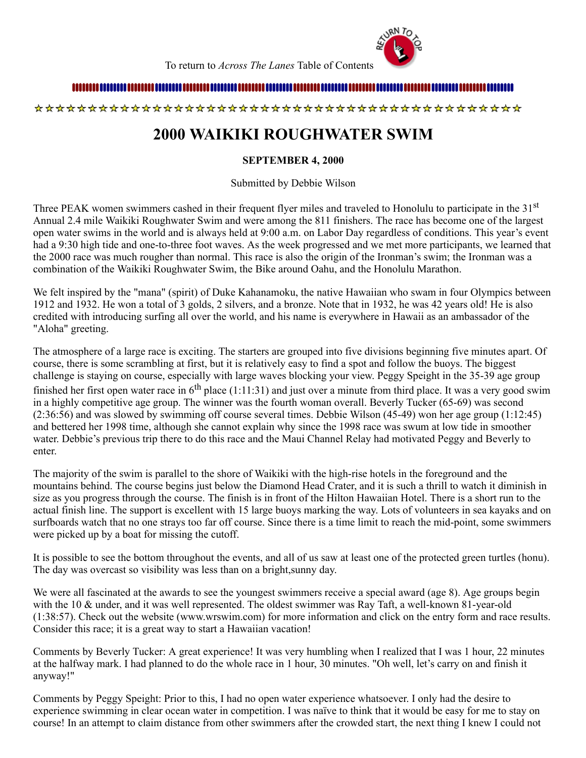

To return to *Across The Lanes* Table of Contents

### 

<span id="page-8-0"></span>

# **2000 WAIKIKI ROUGHWATER SWIM**

#### **SEPTEMBER 4, 2000**

Submitted by Debbie Wilson

Three PEAK women swimmers cashed in their frequent flyer miles and traveled to Honolulu to participate in the 31<sup>st</sup> Annual 2.4 mile Waikiki Roughwater Swim and were among the 811 finishers. The race has become one of the largest open water swims in the world and is always held at 9:00 a.m. on Labor Day regardless of conditions. This year's event had a 9:30 high tide and one-to-three foot waves. As the week progressed and we met more participants, we learned that the 2000 race was much rougher than normal. This race is also the origin of the Ironman's swim; the Ironman was a combination of the Waikiki Roughwater Swim, the Bike around Oahu, and the Honolulu Marathon.

We felt inspired by the "mana" (spirit) of Duke Kahanamoku, the native Hawaiian who swam in four Olympics between 1912 and 1932. He won a total of 3 golds, 2 silvers, and a bronze. Note that in 1932, he was 42 years old! He is also credited with introducing surfing all over the world, and his name is everywhere in Hawaii as an ambassador of the "Aloha" greeting.

The atmosphere of a large race is exciting. The starters are grouped into five divisions beginning five minutes apart. Of course, there is some scrambling at first, but it is relatively easy to find a spot and follow the buoys. The biggest challenge is staying on course, especially with large waves blocking your view. Peggy Speight in the 35-39 age group finished her first open water race in  $6<sup>th</sup>$  place (1:11:31) and just over a minute from third place. It was a very good swim in a highly competitive age group. The winner was the fourth woman overall. Beverly Tucker (65-69) was second (2:36:56) and was slowed by swimming off course several times. Debbie Wilson (45-49) won her age group (1:12:45) and bettered her 1998 time, although she cannot explain why since the 1998 race was swum at low tide in smoother water. Debbie's previous trip there to do this race and the Maui Channel Relay had motivated Peggy and Beverly to enter.

The majority of the swim is parallel to the shore of Waikiki with the high-rise hotels in the foreground and the mountains behind. The course begins just below the Diamond Head Crater, and it is such a thrill to watch it diminish in size as you progress through the course. The finish is in front of the Hilton Hawaiian Hotel. There is a short run to the actual finish line. The support is excellent with 15 large buoys marking the way. Lots of volunteers in sea kayaks and on surfboards watch that no one strays too far off course. Since there is a time limit to reach the mid-point, some swimmers were picked up by a boat for missing the cutoff.

It is possible to see the bottom throughout the events, and all of us saw at least one of the protected green turtles (honu). The day was overcast so visibility was less than on a bright,sunny day.

We were all fascinated at the awards to see the youngest swimmers receive a special award (age 8). Age groups begin with the 10 & under, and it was well represented. The oldest swimmer was Ray Taft, a well-known 81-year-old (1:38:57). Check out the website (www.wrswim.com) for more information and click on the entry form and race results. Consider this race; it is a great way to start a Hawaiian vacation!

Comments by Beverly Tucker: A great experience! It was very humbling when I realized that I was 1 hour, 22 minutes at the halfway mark. I had planned to do the whole race in 1 hour, 30 minutes. "Oh well, let's carry on and finish it anyway!"

Comments by Peggy Speight: Prior to this, I had no open water experience whatsoever. I only had the desire to experience swimming in clear ocean water in competition. I was naïve to think that it would be easy for me to stay on course! In an attempt to claim distance from other swimmers after the crowded start, the next thing I knew I could not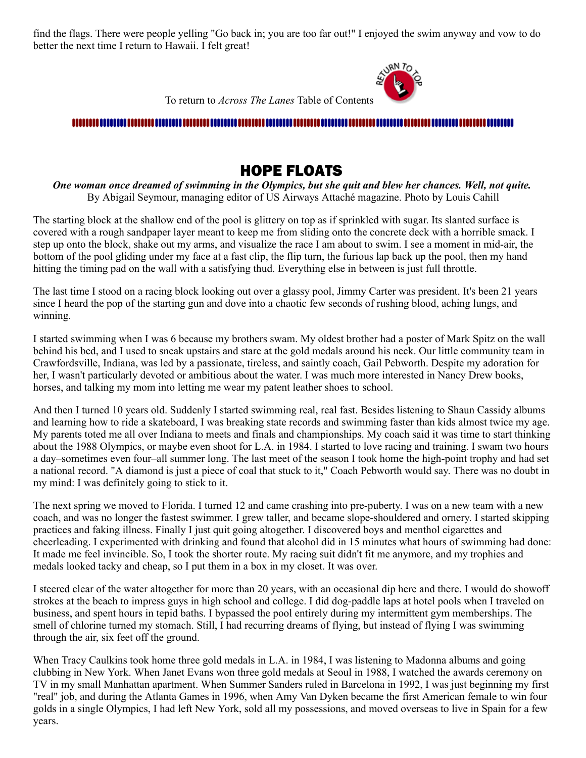find the flags. There were people yelling "Go back in; you are too far out!" I enjoyed the swim anyway and vow to do better the next time I return to Hawaii. I felt great!



To return to *Across The Lanes* Table of Contents

#### 

## HOPE FLOATS

<span id="page-9-0"></span>*One woman once dreamed of swimming in the Olympics, but she quit and blew her chances. Well, not quite.* By Abigail Seymour, managing editor of US Airways Attaché magazine. Photo by Louis Cahill

The starting block at the shallow end of the pool is glittery on top as if sprinkled with sugar. Its slanted surface is covered with a rough sandpaper layer meant to keep me from sliding onto the concrete deck with a horrible smack. I step up onto the block, shake out my arms, and visualize the race I am about to swim. I see a moment in mid-air, the bottom of the pool gliding under my face at a fast clip, the flip turn, the furious lap back up the pool, then my hand hitting the timing pad on the wall with a satisfying thud. Everything else in between is just full throttle.

The last time I stood on a racing block looking out over a glassy pool, Jimmy Carter was president. It's been 21 years since I heard the pop of the starting gun and dove into a chaotic few seconds of rushing blood, aching lungs, and winning.

I started swimming when I was 6 because my brothers swam. My oldest brother had a poster of Mark Spitz on the wall behind his bed, and I used to sneak upstairs and stare at the gold medals around his neck. Our little community team in Crawfordsville, Indiana, was led by a passionate, tireless, and saintly coach, Gail Pebworth. Despite my adoration for her, I wasn't particularly devoted or ambitious about the water. I was much more interested in Nancy Drew books, horses, and talking my mom into letting me wear my patent leather shoes to school.

And then I turned 10 years old. Suddenly I started swimming real, real fast. Besides listening to Shaun Cassidy albums and learning how to ride a skateboard, I was breaking state records and swimming faster than kids almost twice my age. My parents toted me all over Indiana to meets and finals and championships. My coach said it was time to start thinking about the 1988 Olympics, or maybe even shoot for L.A. in 1984. I started to love racing and training. I swam two hours a day–sometimes even four–all summer long. The last meet of the season I took home the high-point trophy and had set a national record. "A diamond is just a piece of coal that stuck to it," Coach Pebworth would say. There was no doubt in my mind: I was definitely going to stick to it.

The next spring we moved to Florida. I turned 12 and came crashing into pre-puberty. I was on a new team with a new coach, and was no longer the fastest swimmer. I grew taller, and became slope-shouldered and ornery. I started skipping practices and faking illness. Finally I just quit going altogether. I discovered boys and menthol cigarettes and cheerleading. I experimented with drinking and found that alcohol did in 15 minutes what hours of swimming had done: It made me feel invincible. So, I took the shorter route. My racing suit didn't fit me anymore, and my trophies and medals looked tacky and cheap, so I put them in a box in my closet. It was over.

I steered clear of the water altogether for more than 20 years, with an occasional dip here and there. I would do showoff strokes at the beach to impress guys in high school and college. I did dog-paddle laps at hotel pools when I traveled on business, and spent hours in tepid baths. I bypassed the pool entirely during my intermittent gym memberships. The smell of chlorine turned my stomach. Still, I had recurring dreams of flying, but instead of flying I was swimming through the air, six feet off the ground.

When Tracy Caulkins took home three gold medals in L.A. in 1984, I was listening to Madonna albums and going clubbing in New York. When Janet Evans won three gold medals at Seoul in 1988, I watched the awards ceremony on TV in my small Manhattan apartment. When Summer Sanders ruled in Barcelona in 1992, I was just beginning my first "real" job, and during the Atlanta Games in 1996, when Amy Van Dyken became the first American female to win four golds in a single Olympics, I had left New York, sold all my possessions, and moved overseas to live in Spain for a few years.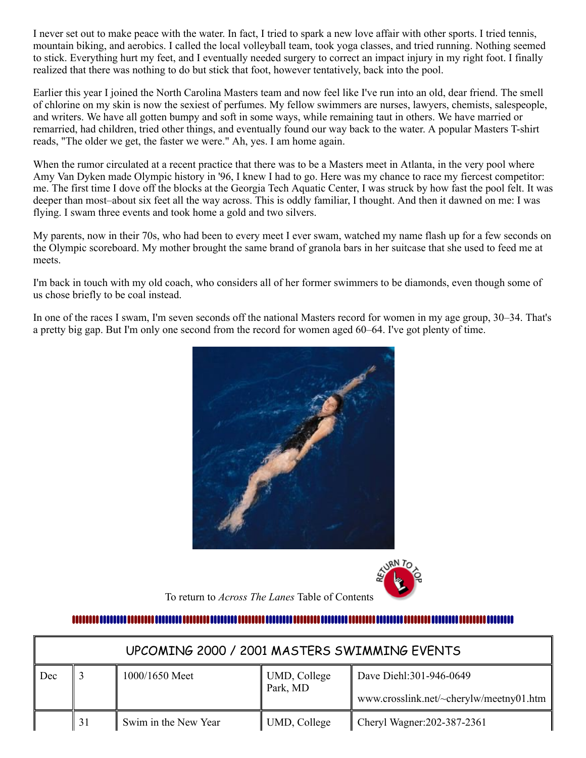I never set out to make peace with the water. In fact, I tried to spark a new love affair with other sports. I tried tennis, mountain biking, and aerobics. I called the local volleyball team, took yoga classes, and tried running. Nothing seemed to stick. Everything hurt my feet, and I eventually needed surgery to correct an impact injury in my right foot. I finally realized that there was nothing to do but stick that foot, however tentatively, back into the pool.

Earlier this year I joined the North Carolina Masters team and now feel like I've run into an old, dear friend. The smell of chlorine on my skin is now the sexiest of perfumes. My fellow swimmers are nurses, lawyers, chemists, salespeople, and writers. We have all gotten bumpy and soft in some ways, while remaining taut in others. We have married or remarried, had children, tried other things, and eventually found our way back to the water. A popular Masters T-shirt reads, "The older we get, the faster we were." Ah, yes. I am home again.

When the rumor circulated at a recent practice that there was to be a Masters meet in Atlanta, in the very pool where Amy Van Dyken made Olympic history in '96, I knew I had to go. Here was my chance to race my fiercest competitor: me. The first time I dove off the blocks at the Georgia Tech Aquatic Center, I was struck by how fast the pool felt. It was deeper than most–about six feet all the way across. This is oddly familiar, I thought. And then it dawned on me: I was flying. I swam three events and took home a gold and two silvers.

My parents, now in their 70s, who had been to every meet I ever swam, watched my name flash up for a few seconds on the Olympic scoreboard. My mother brought the same brand of granola bars in her suitcase that she used to feed me at meets.

I'm back in touch with my old coach, who considers all of her former swimmers to be diamonds, even though some of us chose briefly to be coal instead.

In one of the races I swam, I'm seven seconds off the national Masters record for women in my age group, 30–34. That's a pretty big gap. But I'm only one second from the record for women aged 60–64. I've got plenty of time.





To return to *Across The Lanes* Table of Contents

## 

<span id="page-10-0"></span>

| UPCOMING 2000 / 2001 MASTERS SWIMMING EVENTS |    |                      |                          |                                         |  |
|----------------------------------------------|----|----------------------|--------------------------|-----------------------------------------|--|
| Dec                                          |    | 1000/1650 Meet       | UMD, College<br>Park, MD | Dave Diehl: 301-946-0649                |  |
|                                              |    |                      |                          | www.crosslink.net/~cherylw/meetny01.htm |  |
|                                              | 31 | Swim in the New Year | UMD, College             | Cheryl Wagner: 202-387-2361             |  |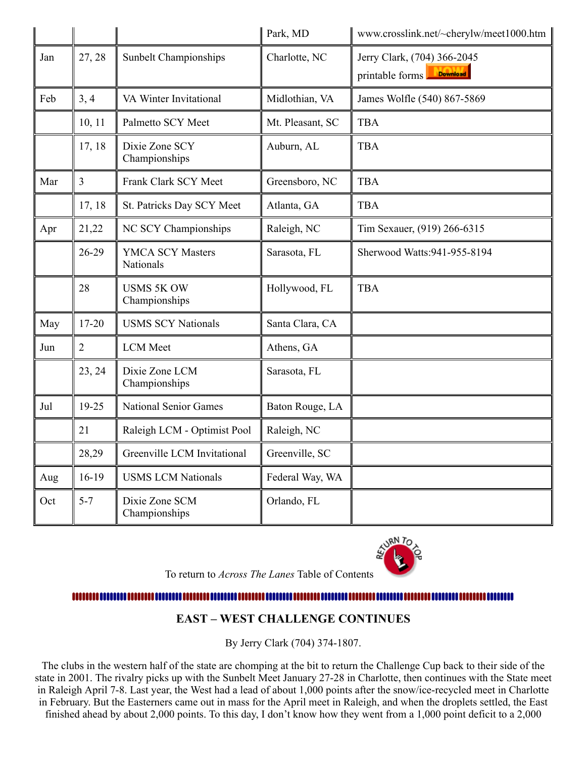|     |                |                                      | Park, MD         | www.crosslink.net/~cherylw/meet1000.htm                           |
|-----|----------------|--------------------------------------|------------------|-------------------------------------------------------------------|
| Jan | 27, 28         | <b>Sunbelt Championships</b>         | Charlotte, NC    | Jerry Clark, (704) 366-2045<br><b>Download</b><br>printable forms |
| Feb | 3, 4           | VA Winter Invitational               | Midlothian, VA   | James Wolfle (540) 867-5869                                       |
|     | 10, 11         | Palmetto SCY Meet                    | Mt. Pleasant, SC | <b>TBA</b>                                                        |
|     | 17, 18         | Dixie Zone SCY<br>Championships      | Auburn, AL       | <b>TBA</b>                                                        |
| Mar | $\overline{3}$ | Frank Clark SCY Meet                 | Greensboro, NC   | <b>TBA</b>                                                        |
|     | 17, 18         | St. Patricks Day SCY Meet            | Atlanta, GA      | <b>TBA</b>                                                        |
| Apr | 21,22          | NC SCY Championships                 | Raleigh, NC      | Tim Sexauer, (919) 266-6315                                       |
|     | 26-29          | <b>YMCA SCY Masters</b><br>Nationals | Sarasota, FL     | Sherwood Watts: 941-955-8194                                      |
|     | 28             | <b>USMS 5K OW</b><br>Championships   | Hollywood, FL    | <b>TBA</b>                                                        |
| May | 17-20          | <b>USMS SCY Nationals</b>            | Santa Clara, CA  |                                                                   |
| Jun | $\overline{2}$ | <b>LCM</b> Meet                      | Athens, GA       |                                                                   |
|     | 23, 24         | Dixie Zone LCM<br>Championships      | Sarasota, FL     |                                                                   |
| Jul | 19-25          | <b>National Senior Games</b>         | Baton Rouge, LA  |                                                                   |
|     | 21             | Raleigh LCM - Optimist Pool          | Raleigh, NC      |                                                                   |
|     | 28,29          | Greenville LCM Invitational          | Greenville, SC   |                                                                   |
| Aug | $16-19$        | <b>USMS LCM Nationals</b>            | Federal Way, WA  |                                                                   |
| Oct | $5 - 7$        | Dixie Zone SCM<br>Championships      | Orlando, FL      |                                                                   |



To return to *Across The Lanes* Table of Contents

#### <span id="page-11-0"></span>...........................

## **EAST – WEST CHALLENGE CONTINUES**

By Jerry Clark (704) 374-1807.

The clubs in the western half of the state are chomping at the bit to return the Challenge Cup back to their side of the state in 2001. The rivalry picks up with the Sunbelt Meet January 27-28 in Charlotte, then continues with the State meet in Raleigh April 7-8. Last year, the West had a lead of about 1,000 points after the snow/ice-recycled meet in Charlotte in February. But the Easterners came out in mass for the April meet in Raleigh, and when the droplets settled, the East finished ahead by about 2,000 points. To this day, I don't know how they went from a 1,000 point deficit to a 2,000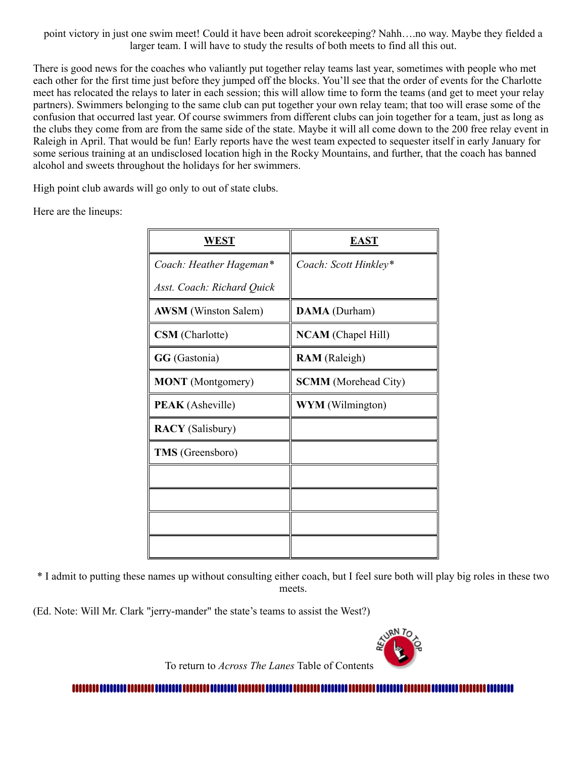point victory in just one swim meet! Could it have been adroit scorekeeping? Nahh….no way. Maybe they fielded a larger team. I will have to study the results of both meets to find all this out.

There is good news for the coaches who valiantly put together relay teams last year, sometimes with people who met each other for the first time just before they jumped off the blocks. You'll see that the order of events for the Charlotte meet has relocated the relays to later in each session; this will allow time to form the teams (and get to meet your relay partners). Swimmers belonging to the same club can put together your own relay team; that too will erase some of the confusion that occurred last year. Of course swimmers from different clubs can join together for a team, just as long as the clubs they come from are from the same side of the state. Maybe it will all come down to the 200 free relay event in Raleigh in April. That would be fun! Early reports have the west team expected to sequester itself in early January for some serious training at an undisclosed location high in the Rocky Mountains, and further, that the coach has banned alcohol and sweets throughout the holidays for her swimmers.

High point club awards will go only to out of state clubs.

Here are the lineups:

| <b>WEST</b>                 | <b>EAST</b>                 |
|-----------------------------|-----------------------------|
| Coach: Heather Hageman*     | Coach: Scott Hinkley*       |
| Asst. Coach: Richard Quick  |                             |
| <b>AWSM</b> (Winston Salem) | DAMA (Durham)               |
| <b>CSM</b> (Charlotte)      | <b>NCAM</b> (Chapel Hill)   |
| GG (Gastonia)               | <b>RAM</b> (Raleigh)        |
| <b>MONT</b> (Montgomery)    | <b>SCMM</b> (Morehead City) |
| <b>PEAK</b> (Asheville)     | <b>WYM</b> (Wilmington)     |
| <b>RACY</b> (Salisbury)     |                             |
| <b>TMS</b> (Greensboro)     |                             |
|                             |                             |
|                             |                             |
|                             |                             |
|                             |                             |

\* I admit to putting these names up without consulting either coach, but I feel sure both will play big roles in these two meets.

(Ed. Note: Will Mr. Clark "jerry-mander" the state's teams to assist the West?)



To return to *Across The Lanes* Table of Contents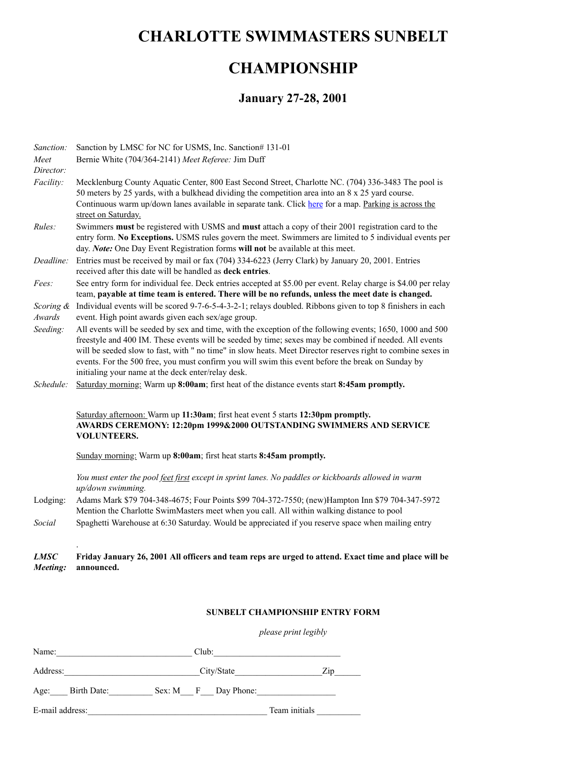## <span id="page-13-0"></span>**CHARLOTTE SWIMMASTERS SUNBELT**

# **CHAMPIONSHIP**

## **January 27-28, 2001**

| Sanction:           | Sanction by LMSC for NC for USMS, Inc. Sanction# 131-01                                                                                                                                                                                                                                                                                                                                                                                                                                        |
|---------------------|------------------------------------------------------------------------------------------------------------------------------------------------------------------------------------------------------------------------------------------------------------------------------------------------------------------------------------------------------------------------------------------------------------------------------------------------------------------------------------------------|
| Meet                | Bernie White (704/364-2141) Meet Referee: Jim Duff                                                                                                                                                                                                                                                                                                                                                                                                                                             |
| Director:           |                                                                                                                                                                                                                                                                                                                                                                                                                                                                                                |
| Facility:           | Mecklenburg County Aquatic Center, 800 East Second Street, Charlotte NC. (704) 336-3483 The pool is<br>50 meters by 25 yards, with a bulkhead dividing the competition area into an 8 x 25 yard course.<br>Continuous warm up/down lanes available in separate tank. Click here for a map. Parking is across the<br>street on Saturday.                                                                                                                                                        |
| Rules:              | Swimmers must be registered with USMS and must attach a copy of their 2001 registration card to the<br>entry form. No Exceptions. USMS rules govern the meet. Swimmers are limited to 5 individual events per<br>day. Note: One Day Event Registration forms will not be available at this meet.                                                                                                                                                                                               |
| Deadline:           | Entries must be received by mail or fax (704) 334-6223 (Jerry Clark) by January 20, 2001. Entries<br>received after this date will be handled as deck entries.                                                                                                                                                                                                                                                                                                                                 |
| Fees:               | See entry form for individual fee. Deck entries accepted at \$5.00 per event. Relay charge is \$4.00 per relay<br>team, payable at time team is entered. There will be no refunds, unless the meet date is changed.                                                                                                                                                                                                                                                                            |
| Scoring &<br>Awards | Individual events will be scored 9-7-6-5-4-3-2-1; relays doubled. Ribbons given to top 8 finishers in each<br>event. High point awards given each sex/age group.                                                                                                                                                                                                                                                                                                                               |
| Seeding:            | All events will be seeded by sex and time, with the exception of the following events; 1650, 1000 and 500<br>freestyle and 400 IM. These events will be seeded by time; sexes may be combined if needed. All events<br>will be seeded slow to fast, with " no time" in slow heats. Meet Director reserves right to combine sexes in<br>events. For the 500 free, you must confirm you will swim this event before the break on Sunday by<br>initialing your name at the deck enter/relay desk. |
| Schedule:           | Saturday morning: Warm up 8:00am; first heat of the distance events start 8:45am promptly.                                                                                                                                                                                                                                                                                                                                                                                                     |
|                     | Saturday afternoon: Warm up 11:30am; first heat event 5 starts 12:30pm promptly.<br>AWARDS CEREMONY: 12:20pm 1999&2000 OUTSTANDING SWIMMERS AND SERVICE<br><b>VOLUNTEERS.</b>                                                                                                                                                                                                                                                                                                                  |
|                     | Sunday morning: Warm up 8:00am; first heat starts 8:45am promptly.                                                                                                                                                                                                                                                                                                                                                                                                                             |
|                     | You must enter the pool feet first except in sprint lanes. No paddles or kickboards allowed in warm<br>up/down swimming.                                                                                                                                                                                                                                                                                                                                                                       |
| Lodging:            | Adams Mark \$79 704-348-4675; Four Points \$99 704-372-7550; (new)Hampton Inn \$79 704-347-5972<br>Mention the Charlotte SwimMasters meet when you call. All within walking distance to pool                                                                                                                                                                                                                                                                                                   |
| Social              | Spaghetti Warehouse at 6:30 Saturday. Would be appreciated if you reserve space when mailing entry                                                                                                                                                                                                                                                                                                                                                                                             |
|                     |                                                                                                                                                                                                                                                                                                                                                                                                                                                                                                |

#### *LMSC Meeting:* **Friday January 26, 2001 All officers and team reps are urged to attend. Exact time and place will be announced.**

#### **SUNBELT CHAMPIONSHIP ENTRY FORM**

*please print legibly*

| Name:            | Club:               |               |
|------------------|---------------------|---------------|
| Address:         | City/State          | Zip           |
| Age: Birth Date: | Sex: M F Day Phone: |               |
| E-mail address:  |                     | Team initials |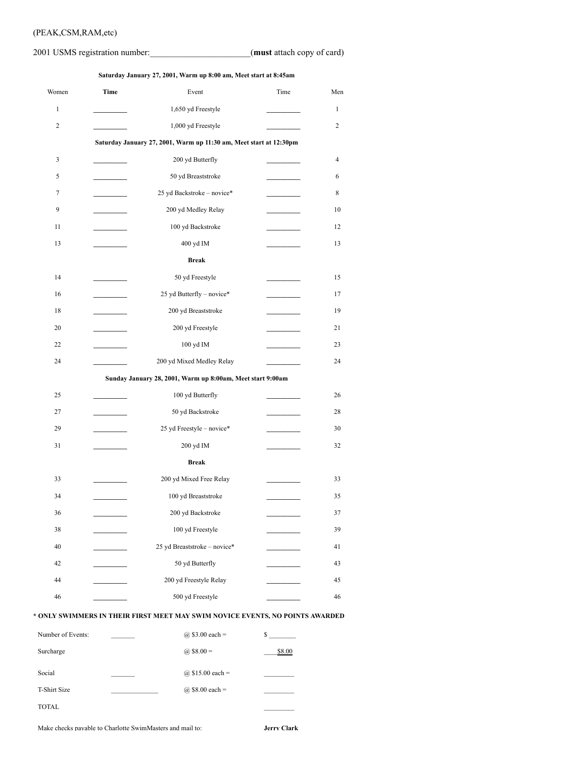#### (PEAK,CSM,RAM,etc)

#### 2001 USMS registration number:\_\_\_\_\_\_\_\_\_\_\_\_\_\_\_\_\_\_\_\_\_\_\_(**must** attach copy of card)

**Saturday January 27, 2001, Warm up 8:00 am, Meet start at 8:45am**

| Women        | Time                     | Event                                                              | Time | Men          |
|--------------|--------------------------|--------------------------------------------------------------------|------|--------------|
| $\mathbf{1}$ |                          | 1,650 yd Freestyle                                                 |      | $\mathbf{1}$ |
| 2            |                          | 1,000 yd Freestyle                                                 |      | 2            |
|              |                          | Saturday January 27, 2001, Warm up 11:30 am, Meet start at 12:30pm |      |              |
| 3            |                          | 200 yd Butterfly                                                   |      | 4            |
| 5            |                          | 50 yd Breaststroke                                                 |      | 6            |
| 7            |                          | 25 yd Backstroke - novice*                                         |      | 8            |
| 9            |                          | 200 yd Medley Relay                                                |      | 10           |
| 11           |                          | 100 yd Backstroke                                                  |      | 12           |
| 13           |                          | 400 yd IM                                                          |      | 13           |
|              |                          | <b>Break</b>                                                       |      |              |
| 14           |                          | 50 yd Freestyle                                                    |      | 15           |
| 16           | <b>Contract Contract</b> | 25 yd Butterfly - novice*                                          |      | 17           |
| 18           |                          | 200 yd Breaststroke                                                |      | 19           |
| 20           |                          | 200 yd Freestyle                                                   |      | 21           |
| 22           |                          | 100 yd IM                                                          |      | 23           |
| 24           |                          | 200 yd Mixed Medley Relay                                          |      | 24           |
|              |                          | Sunday January 28, 2001, Warm up 8:00am, Meet start 9:00am         |      |              |
| 25           |                          | 100 yd Butterfly                                                   |      | 26           |
| 27           |                          | 50 yd Backstroke                                                   |      | 28           |
| 29           |                          | 25 yd Freestyle - novice*                                          |      | 30           |
| 31           |                          | 200 yd IM                                                          |      | 32           |
|              |                          | <b>Break</b>                                                       |      |              |
| 33           |                          | 200 yd Mixed Free Relay                                            |      | 33           |
| 34           |                          | 100 yd Breaststroke                                                |      | 35           |
| 36           |                          | 200 yd Backstroke                                                  |      | 37           |
| 38           |                          | 100 yd Freestyle                                                   |      | 39           |
| 40           |                          | 25 yd Breaststroke - novice*                                       |      | 41           |
| 42           |                          | 50 yd Butterfly                                                    |      | 43           |
| 44           |                          | 200 yd Freestyle Relay                                             |      | 45           |
| 46           |                          | 500 yd Freestyle                                                   |      | 46           |
|              |                          |                                                                    |      |              |

#### **\* ONLY SWIMMERS IN THEIR FIRST MEET MAY SWIM NOVICE EVENTS, NO POINTS AWARDED**

| Number of Events:   | (a) \$3.00 each =   | S      |
|---------------------|---------------------|--------|
| Surcharge           | @ $$8.00 =$         | \$8.00 |
| Social              | (a) $$15.00$ each = |        |
| <b>T-Shirt Size</b> | (a) $$8.00$ each =  |        |
| <b>TOTAL</b>        |                     |        |